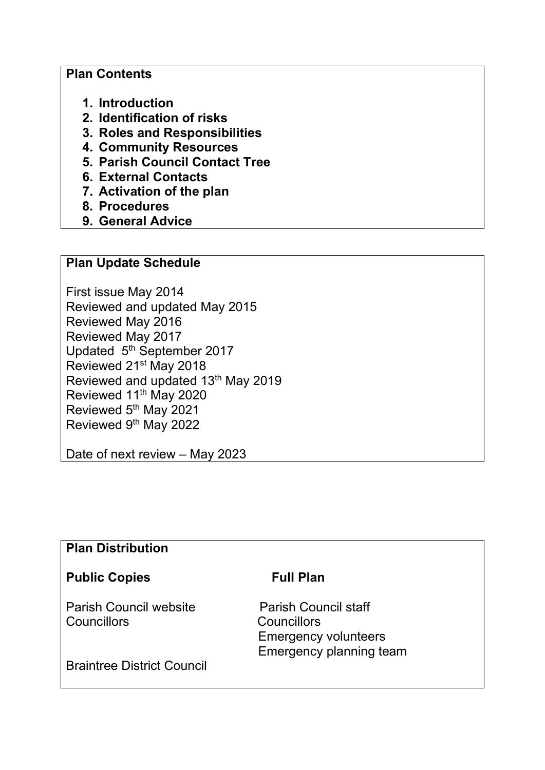#### **Plan Contents**

- **1. Introduction**
- **2. Identification of risks**
- **3. Roles and Responsibilities**
- **4. Community Resources**
- **5. Parish Council Contact Tree**
- **6. External Contacts**
- **7. Activation of the plan**
- **8. Procedures**
- **9. General Advice**

#### **Plan Update Schedule**

First issue May 2014 Reviewed and updated May 2015 Reviewed May 2016 Reviewed May 2017 Updated 5<sup>th</sup> September 2017 Reviewed 21st May 2018 Reviewed and updated 13<sup>th</sup> May 2019 Reviewed 11<sup>th</sup> May 2020 Reviewed 5<sup>th</sup> May 2021 Reviewed 9th May 2022

Date of next review – May 2023

#### **Plan Distribution**

### Public Copies **Full Plan**

Parish Council website Parish Council staff Councillors Councillors

 Emergency volunteers Emergency planning team

Braintree District Council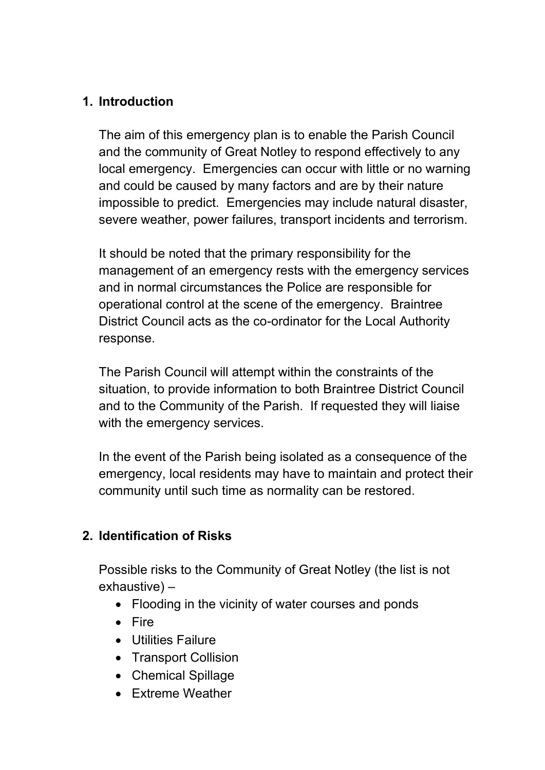## **1. Introduction**

The aim of this emergency plan is to enable the Parish Council and the community of Great Notley to respond effectively to any local emergency. Emergencies can occur with little or no warning and could be caused by many factors and are by their nature impossible to predict. Emergencies may include natural disaster, severe weather, power failures, transport incidents and terrorism.

It should be noted that the primary responsibility for the management of an emergency rests with the emergency services and in normal circumstances the Police are responsible for operational control at the scene of the emergency. Braintree District Council acts as the co-ordinator for the Local Authority response.

The Parish Council will attempt within the constraints of the situation, to provide information to both Braintree District Council and to the Community of the Parish. If requested they will liaise with the emergency services.

In the event of the Parish being isolated as a consequence of the emergency, local residents may have to maintain and protect their community until such time as normality can be restored.

## **2. Identification of Risks**

Possible risks to the Community of Great Notley (the list is not exhaustive) –

- Flooding in the vicinity of water courses and ponds
- Fire
- Utilities Failure
- Transport Collision
- Chemical Spillage
- Extreme Weather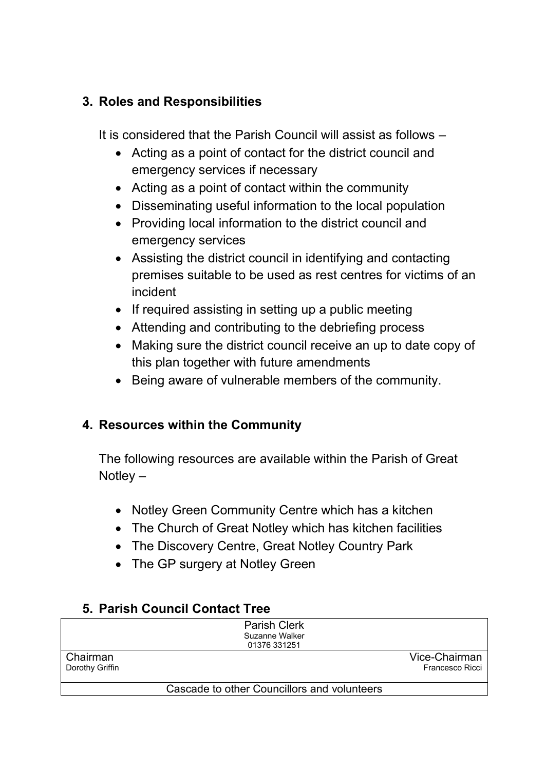## **3. Roles and Responsibilities**

It is considered that the Parish Council will assist as follows –

- Acting as a point of contact for the district council and emergency services if necessary
- Acting as a point of contact within the community
- Disseminating useful information to the local population
- Providing local information to the district council and emergency services
- Assisting the district council in identifying and contacting premises suitable to be used as rest centres for victims of an incident
- If required assisting in setting up a public meeting
- Attending and contributing to the debriefing process
- Making sure the district council receive an up to date copy of this plan together with future amendments
- Being aware of vulnerable members of the community.

# **4. Resources within the Community**

The following resources are available within the Parish of Great Notley –

- Notley Green Community Centre which has a kitchen
- The Church of Great Notley which has kitchen facilities
- The Discovery Centre, Great Notley Country Park
- The GP surgery at Notley Green

# **5. Parish Council Contact Tree**

|                 | <b>Parish Clerk</b>                         |                 |
|-----------------|---------------------------------------------|-----------------|
|                 | Suzanne Walker                              |                 |
|                 | 01376 331251                                |                 |
| Chairman        |                                             | Vice-Chairman   |
| Dorothy Griffin |                                             | Francesco Ricci |
|                 |                                             |                 |
|                 | Cascade to other Councillors and volunteers |                 |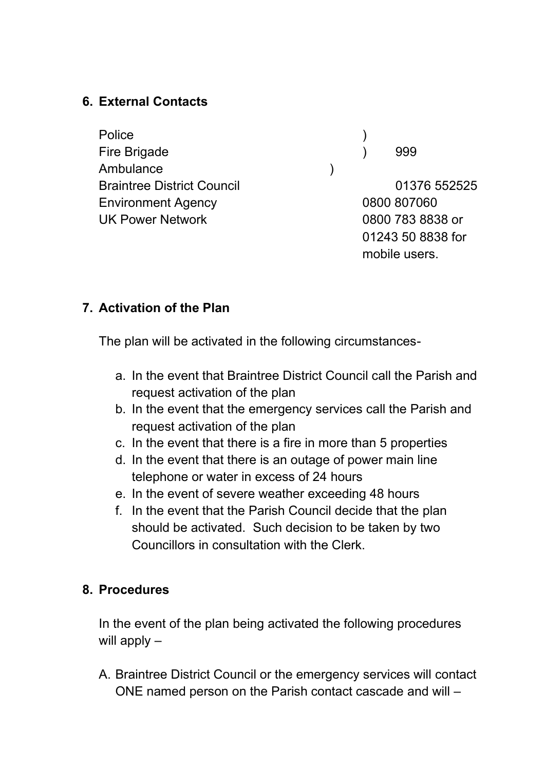## **6. External Contacts**

Police ) Fire Brigade (1999) 999 Ambulance (a) Braintree District Council **District Council Council 11376 552525** Environment Agency 0800 807060 UK Power Network 0800 783 8838 or

01243 50 8838 for mobile users.

## **7. Activation of the Plan**

The plan will be activated in the following circumstances-

- a. In the event that Braintree District Council call the Parish and request activation of the plan
- b. In the event that the emergency services call the Parish and request activation of the plan
- c. In the event that there is a fire in more than 5 properties
- d. In the event that there is an outage of power main line telephone or water in excess of 24 hours
- e. In the event of severe weather exceeding 48 hours
- f. In the event that the Parish Council decide that the plan should be activated. Such decision to be taken by two Councillors in consultation with the Clerk.

## **8. Procedures**

In the event of the plan being activated the following procedures will apply –

A. Braintree District Council or the emergency services will contact ONE named person on the Parish contact cascade and will –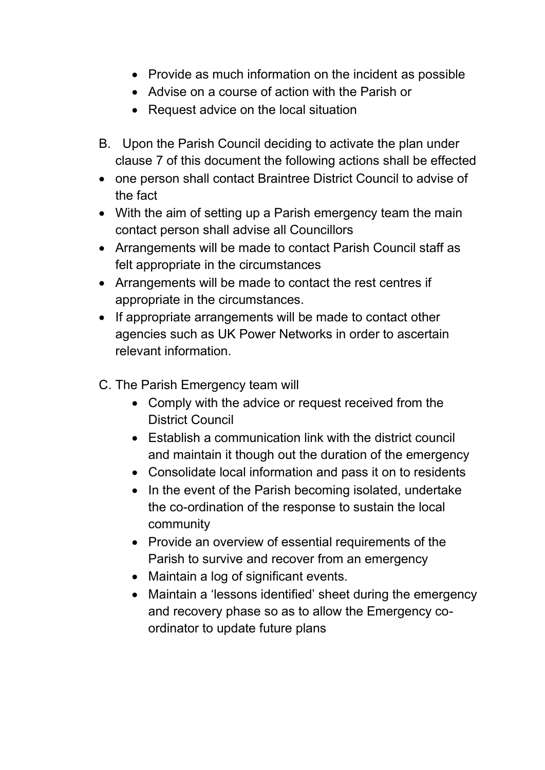- Provide as much information on the incident as possible
- Advise on a course of action with the Parish or
- Request advice on the local situation
- B. Upon the Parish Council deciding to activate the plan under clause 7 of this document the following actions shall be effected
- one person shall contact Braintree District Council to advise of the fact
- With the aim of setting up a Parish emergency team the main contact person shall advise all Councillors
- Arrangements will be made to contact Parish Council staff as felt appropriate in the circumstances
- Arrangements will be made to contact the rest centres if appropriate in the circumstances.
- If appropriate arrangements will be made to contact other agencies such as UK Power Networks in order to ascertain relevant information.
- C. The Parish Emergency team will
	- Comply with the advice or request received from the District Council
	- Establish a communication link with the district council and maintain it though out the duration of the emergency
	- Consolidate local information and pass it on to residents
	- In the event of the Parish becoming isolated, undertake the co-ordination of the response to sustain the local community
	- Provide an overview of essential requirements of the Parish to survive and recover from an emergency
	- Maintain a log of significant events.
	- Maintain a 'lessons identified' sheet during the emergency and recovery phase so as to allow the Emergency coordinator to update future plans